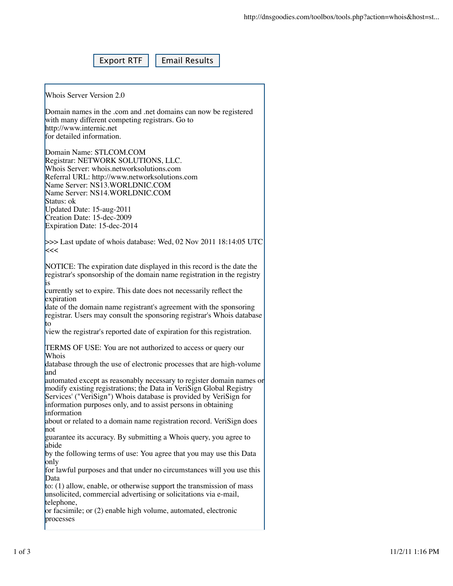Export RTF  $\vert \vert$  Email Results

Whois Server Version 2.0 Domain names in the .com and .net domains can now be registered with many different competing registrars. Go to http://www.internic.net for detailed information. Domain Name: STLCOM.COM Registrar: NETWORK SOLUTIONS, LLC. Whois Server: whois.networksolutions.com Referral URL: http://www.networksolutions.com Name Server: NS13.WORLDNIC.COM Name Server: NS14.WORLDNIC.COM Status: ok Updated Date: 15-aug-2011 Creation Date: 15-dec-2009 Expiration Date: 15-dec-2014 >>> Last update of whois database: Wed, 02 Nov 2011 18:14:05 UTC  $<<$ NOTICE: The expiration date displayed in this record is the date the registrar's sponsorship of the domain name registration in the registry currently set to expire. This date does not necessarily reflect the expiration date of the domain name registrant's agreement with the sponsoring registrar. Users may consult the sponsoring registrar's Whois database view the registrar's reported date of expiration for this registration. TERMS OF USE: You are not authorized to access or query our Whois database through the use of electronic processes that are high-volume and automated except as reasonably necessary to register domain names or modify existing registrations; the Data in VeriSign Global Registry Services' ("VeriSign") Whois database is provided by VeriSign for information purposes only, and to assist persons in obtaining information about or related to a domain name registration record. VeriSign does not guarantee its accuracy. By submitting a Whois query, you agree to abide by the following terms of use: You agree that you may use this Data only for lawful purposes and that under no circumstances will you use this Data to: (1) allow, enable, or otherwise support the transmission of mass unsolicited, commercial advertising or solicitations via e-mail, telephone, or facsimile; or (2) enable high volume, automated, electronic processes 1 of 3 11/2/11 1:16 PM

is

to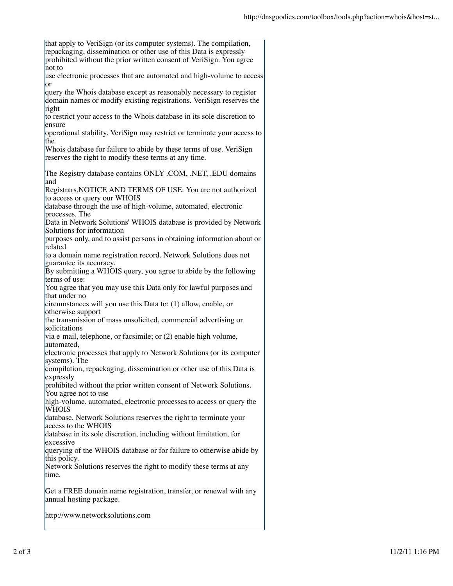| that apply to VeriSign (or its computer systems). The compilation,<br>repackaging, dissemination or other use of this Data is expressly              |  |
|------------------------------------------------------------------------------------------------------------------------------------------------------|--|
| prohibited without the prior written consent of VeriSign. You agree<br>not to                                                                        |  |
| use electronic processes that are automated and high-volume to access<br>lor                                                                         |  |
| query the Whois database except as reasonably necessary to register<br>domain names or modify existing registrations. VeriSign reserves the<br>right |  |
| to restrict your access to the Whois database in its sole discretion to<br>ensure                                                                    |  |
| operational stability. VeriSign may restrict or terminate your access to<br>the                                                                      |  |
| Whois database for failure to abide by these terms of use. VeriSign<br>reserves the right to modify these terms at any time.                         |  |
| The Registry database contains ONLY .COM, .NET, .EDU domains<br>land                                                                                 |  |
| Registrars. NOTICE AND TERMS OF USE: You are not authorized                                                                                          |  |
| to access or query our WHOIS<br>database through the use of high-volume, automated, electronic                                                       |  |
| processes. The<br>Data in Network Solutions' WHOIS database is provided by Network                                                                   |  |
| Solutions for information<br>purposes only, and to assist persons in obtaining information about or<br>related                                       |  |
| to a domain name registration record. Network Solutions does not<br>guarantee its accuracy.                                                          |  |
| By submitting a WHOIS query, you agree to abide by the following<br>terms of use:                                                                    |  |
| You agree that you may use this Data only for lawful purposes and<br>that under no                                                                   |  |
| circumstances will you use this Data to: (1) allow, enable, or<br>otherwise support                                                                  |  |
| the transmission of mass unsolicited, commercial advertising or<br>solicitations                                                                     |  |
| $via$ e-mail, telephone, or facsimile; or $(2)$ enable high volume,<br>automated,                                                                    |  |
| electronic processes that apply to Network Solutions (or its computer<br>systems). The                                                               |  |
| compilation, repackaging, dissemination or other use of this Data is                                                                                 |  |
| expressly<br>prohibited without the prior written consent of Network Solutions.                                                                      |  |
| You agree not to use<br>high-volume, automated, electronic processes to access or query the<br><b>WHOIS</b>                                          |  |
| database. Network Solutions reserves the right to terminate your<br>access to the WHOIS                                                              |  |
| database in its sole discretion, including without limitation, for<br>excessive                                                                      |  |
| querying of the WHOIS database or for failure to otherwise abide by<br>this policy.                                                                  |  |
| Network Solutions reserves the right to modify these terms at any<br>time.                                                                           |  |
| Get a FREE domain name registration, transfer, or renewal with any<br>annual hosting package.                                                        |  |
| http://www.networksolutions.com                                                                                                                      |  |